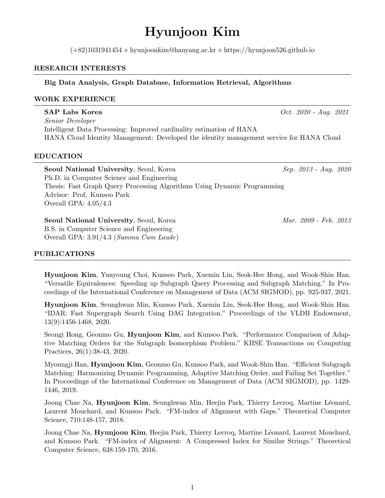# Hyunjoon Kim

 $(+82)1031941454 \diamond$  hyunjoonkim@hanyang.ac.kr  $\diamond$  https://hyunjoon526.github.io

# RESEARCH INTERESTS

# Big Data Analysis, Graph Database, Information Retrieval, Algorithms

# WORK EXPERIENCE

SAP Labs Korea  $Oct. 2020 - Aug. 2021$ Senior Developer Intelligent Data Processing: Improved cardinality estimation of HANA HANA Cloud Identity Management: Developed the identity management service for HANA Cloud

# EDUCATION

Seoul National University, Seoul, Korea Sep. 2013 - Aug. 2020 Ph.D. in Computer Science and Engineering Thesis: Fast Graph Query Processing Algorithms Using Dynamic Programming Advisor: Prof. Kunsoo Park Overall GPA: 4.05/4.3

Seoul National University, Seoul, Korea Mar. 2009 - Feb. 2013 B.S. in Computer Science and Engineering Overall GPA: 3.91/4.3 (Summa Cum Laude)

# PUBLICATIONS

Hyunjoon Kim, Yunyoung Choi, Kunsoo Park, Xuemin Lin, Seok-Hee Hong, and Wook-Shin Han. "Versatile Equivalences: Speeding up Subgraph Query Processing and Subgraph Matching." In Proceedings of the International Conference on Management of Data (ACM SIGMOD), pp. 925-937, 2021.

Hyunjoon Kim, Seunghwan Min, Kunsoo Park, Xuemin Lin, Seok-Hee Hong, and Wook-Shin Han. "IDAR: Fast Supergraph Search Using DAG Integration." Proceedings of the VLDB Endowment, 13(9):1456-1468, 2020.

Seongi Hong, Geonmo Gu, Hyunjoon Kim, and Kunsoo Park. "Performance Comparison of Adaptive Matching Orders for the Subgraph Isomorphism Problem." KIISE Transactions on Computing Practices, 26(1):38-43, 2020.

Myoungji Han, Hyunjoon Kim, Geonmo Gu, Kunsoo Park, and Wook-Shin Han. "Efficient Subgraph Matching: Harmonizing Dynamic Programming, Adaptive Matching Order, and Failing Set Together." In Proceedings of the International Conference on Management of Data (ACM SIGMOD), pp. 1429- 1446, 2019.

Joong Chae Na, Hyunjoon Kim, Seunghwan Min, Heejin Park, Thierry Lecroq, Martine Léonard, Laurent Mouchard, and Kunsoo Park. "FM-index of Alignment with Gaps." Theoretical Computer Science, 710:148-157, 2018.

Joong Chae Na, Hyunjoon Kim, Heejin Park, Thierry Lecroq, Martine Léonard, Laurent Mouchard, and Kunsoo Park. "FM-index of Alignment: A Compressed Index for Similar Strings." Theoretical Computer Science, 638:159-170, 2016.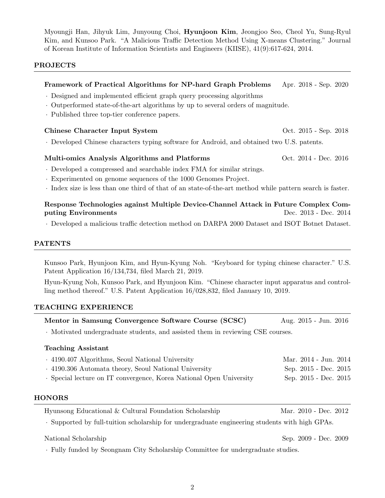Myoungji Han, Jihyuk Lim, Junyoung Choi, Hyunjoon Kim, Jeongjoo Seo, Cheol Yu, Sung-Ryul Kim, and Kunsoo Park. "A Malicious Traffic Detection Method Using X-means Clustering." Journal of Korean Institute of Information Scientists and Engineers (KIISE), 41(9):617-624, 2014.

## PROJECTS

# Framework of Practical Algorithms for NP-hard Graph Problems Apr. 2018 - Sep. 2020

- · Designed and implemented efficient graph query processing algorithms
- · Outperformed state-of-the-art algorithms by up to several orders of magnitude.
- · Published three top-tier conference papers.

#### Chinese Character Input System  $\qquad \qquad \text{Oct. } 2015 - \text{Sep. } 2018$

· Developed Chinese characters typing software for Android, and obtained two U.S. patents.

## Multi-omics Analysis Algorithms and Platforms Oct. 2014 - Dec. 2016

- · Developed a compressed and searchable index FMA for similar strings.
- · Experimented on genome sequences of the 1000 Genomes Project.
- · Index size is less than one third of that of an state-of-the-art method while pattern search is faster.

## Response Technologies against Multiple Device-Channel Attack in Future Complex Computing Environments Dec. 2013 - Dec. 2014

· Developed a malicious traffic detection method on DARPA 2000 Dataset and ISOT Botnet Dataset.

## PATENTS

Kunsoo Park, Hyunjoon Kim, and Hyun-Kyung Noh. "Keyboard for typing chinese character." U.S. Patent Application 16/134,734, filed March 21, 2019.

Hyun-Kyung Noh, Kunsoo Park, and Hyunjoon Kim. "Chinese character input apparatus and controlling method thereof." U.S. Patent Application 16/028,832, filed January 10, 2019.

## TEACHING EXPERIENCE

| Mentor in Samsung Convergence Software Course (SCSC) |  | Aug. 2015 - Jun. 2016 |  |
|------------------------------------------------------|--|-----------------------|--|
|                                                      |  |                       |  |

· Motivated undergraduate students, and assisted them in reviewing CSE courses.

| <b>Teaching Assistant</b>                                           |                       |
|---------------------------------------------------------------------|-----------------------|
| . 4190.407 Algorithms, Seoul National University                    | Mar. 2014 - Jun. 2014 |
| . 4190.306 Automata theory, Seoul National University               | Sep. 2015 - Dec. 2015 |
| . Special lecture on IT convergence, Korea National Open University | Sep. 2015 - Dec. 2015 |

## HONORS

| Hyunsong Educational & Cultural Foundation Scholarship |  | Mar. 2010 - Dec. 2012 |  |  |
|--------------------------------------------------------|--|-----------------------|--|--|
|--------------------------------------------------------|--|-----------------------|--|--|

· Supported by full-tuition scholarship for undergraduate engineering students with high GPAs.

## National Scholarship Sep. 2009 - Dec. 2009

· Fully funded by Seongnam City Scholarship Committee for undergraduate studies.